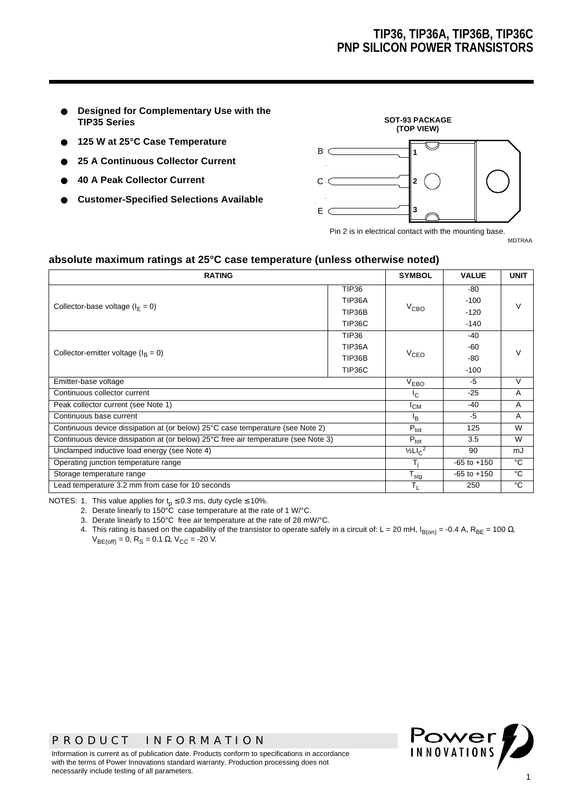- **Designed for Complementary Use with the TIP35 Series**
- **125 W at 25°C Case Temperature**
- **25 A Continuous Collector Current**
- **40 A Peak Collector Current**
- **Customer-Specified Selections Available**



Pin 2 is in electrical contact with the mounting base.

MDTRAA

#### **absolute maximum ratings at 25°C case temperature (unless otherwise noted)**

| <b>RATING</b>                                                                      |                  |                    | <b>VALUE</b>    | <b>UNIT</b>    |  |
|------------------------------------------------------------------------------------|------------------|--------------------|-----------------|----------------|--|
|                                                                                    | <b>TIP36</b>     |                    | -80             |                |  |
| Collector-base voltage ( $I_F = 0$ )                                               | TIP36A           |                    | $-100$          | $\vee$         |  |
|                                                                                    | TIP36B           | $V_{\mathsf{CBO}}$ | $-120$          |                |  |
|                                                                                    | TIP36C           |                    | $-140$          |                |  |
|                                                                                    | <b>TIP36</b>     |                    | $-40$           |                |  |
|                                                                                    | TIP36A           |                    | -60             |                |  |
| Collector-emitter voltage $(I_B = 0)$                                              | TIP36B           | $V_{CFO}$          | -80             |                |  |
|                                                                                    | TIP36C           |                    | $-100$          |                |  |
| Emitter-base voltage                                                               | V <sub>EBO</sub> | $-5$               | V               |                |  |
| Continuous collector current                                                       | $I_{C}$          | $-25$              | $\overline{A}$  |                |  |
| Peak collector current (see Note 1)                                                | $I_{CM}$         | $-40$              | A               |                |  |
| Continuous base current                                                            |                  |                    | $-5$            | $\overline{A}$ |  |
| Continuous device dissipation at (or below) 25°C case temperature (see Note 2)     |                  |                    | 125             | W              |  |
| Continuous device dissipation at (or below) 25°C free air temperature (see Note 3) |                  |                    | 3.5             | W              |  |
| Unclamped inductive load energy (see Note 4)                                       |                  |                    | 90              | mJ             |  |
| Operating junction temperature range                                               |                  |                    | $-65$ to $+150$ | °C             |  |
| Storage temperature range                                                          |                  |                    | $-65$ to $+150$ | °C             |  |
| Lead temperature 3.2 mm from case for 10 seconds                                   |                  |                    | 250             | °C             |  |

NOTES: 1. This value applies for  $t_p \le 0.3$  ms, duty cycle  $\le 10\%$ .

2. Derate linearly to 150°C case temperature at the rate of 1 W/°C.

3. Derate linearly to 150°C free air temperature at the rate of 28 mW/°C.

4. This rating is based on the capability of the transistor to operate safely in a circuit of: L = 20 mH, I<sub>B(on)</sub> = -0.4 A, R<sub>BE</sub> = 100 Ω,  $V_{BE(off)} = 0$ , R<sub>S</sub> = 0.1 Ω, V<sub>CC</sub> = -20 V.

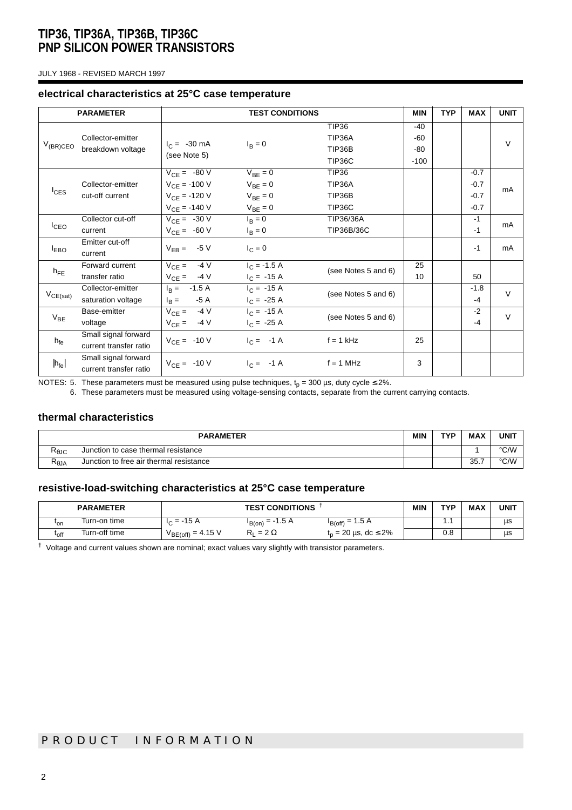JULY 1968 - REVISED MARCH 1997

#### **electrical characteristics at 25°C case temperature**

|                   | <b>PARAMETER</b>                               | <b>TEST CONDITIONS</b>                                                          |                                                              |                                                   | <b>MIN</b>                      | <b>TYP</b> | <b>MAX</b>                           | <b>UNIT</b> |
|-------------------|------------------------------------------------|---------------------------------------------------------------------------------|--------------------------------------------------------------|---------------------------------------------------|---------------------------------|------------|--------------------------------------|-------------|
| $V_{(BR)CEO}$     | Collector-emitter<br>breakdown voltage         | $I_C = -30 \text{ mA}$<br>(see Note 5)                                          | $I_B = 0$                                                    | <b>TIP36</b><br>TIP36A<br>TIP36B<br><b>TIP36C</b> | $-40$<br>-60<br>$-80$<br>$-100$ |            |                                      | $\vee$      |
| $I_{CES}$         | Collector-emitter<br>cut-off current           | $V_{CE} = -80 V$<br>$V_{CF} = -100 V$<br>$V_{CE} = -120 V$<br>$V_{CE} = -140 V$ | $V_{BE} = 0$<br>$V_{BF} = 0$<br>$V_{BE} = 0$<br>$V_{BE} = 0$ | <b>TIP36</b><br>TIP36A<br>TIP36B<br>TIP36C        |                                 |            | $-0.7$<br>$-0.7$<br>$-0.7$<br>$-0.7$ | mA          |
| I <sub>CEO</sub>  | Collector cut-off<br>current                   | $V_{CE} = -30 V$<br>$V_{CE} = -60 V$                                            | $I_B = 0$<br>$I_{\rm B} = 0$                                 | TIP36/36A<br>TIP36B/36C                           |                                 |            | $-1$<br>$-1$                         | mA          |
| <b>LEBO</b>       | Emitter cut-off<br>current                     | $V_{EB} = -5 V$                                                                 | $I_C = 0$                                                    |                                                   |                                 |            | $-1$                                 | mA          |
| $h_{\text{FF}}$   | Forward current<br>transfer ratio              | $V_{CE} = 4V$<br>$V_{CE} = -4 V$                                                | $I_C = -1.5 A$<br>$I_C = -15 A$                              | (see Notes 5 and 6)                               | 25<br>10                        |            | 50                                   |             |
| $V_{CE(sat)}$     | Collector-emitter<br>saturation voltage        | $I_B = -1.5 A$<br>-5 A<br>$I_{\rm B} =$                                         | $I_C = -15 A$<br>$I_C = -25 A$                               | (see Notes 5 and 6)                               |                                 |            | $-1.8$<br>$-4$                       | $\vee$      |
| $V_{BE}$          | Base-emitter<br>voltage                        | -4 V<br>$V_{CE}$ =<br>$V_{CE} = -4 V$                                           | $I_C = -15 A$<br>$I_C = -25 A$                               | (see Notes 5 and 6)                               |                                 |            | $-2$<br>$-4$                         | $\vee$      |
| $h_{fe}$          | Small signal forward<br>current transfer ratio | $V_{CE} = -10 V$                                                                | $I_C = -1 \text{ A}$                                         | $f = 1$ kHz                                       | 25                              |            |                                      |             |
| $ h_{\text{fe}} $ | Small signal forward<br>current transfer ratio | $V_{CE} = -10 V$                                                                | $I_C = -1 \text{ A}$                                         | $f = 1$ MHz                                       | 3                               |            |                                      |             |

NOTES: 5. These parameters must be measured using pulse techniques,  ${\rm t_p}$  = 300 µs, duty cycle ≤ 2%.

6. These parameters must be measured using voltage-sensing contacts, separate from the current carrying contacts.

### **thermal characteristics**

| <b>PARAMETER</b> |                                         |  | <b>TVD</b> | <b>MAX</b> | <b>UNIT</b> |
|------------------|-----------------------------------------|--|------------|------------|-------------|
| Ւ⊕JC             | Junction to case thermal resistance     |  |            |            | °C/W        |
| ≺θJA             | Junction to free air thermal resistance |  |            | 35.7       | °C/W        |

### **resistive-load-switching characteristics at 25°C case temperature**

|               | <b>PARAMETER</b> | <b>TEST CONDITIONS</b> |                      |                                    | <b>MIN</b> | TVD        | <b>MAX</b> | <b>UNIT</b> |
|---------------|------------------|------------------------|----------------------|------------------------------------|------------|------------|------------|-------------|
| 'on           | Turn-on time     | $I_C = -15 A$          | $I_{B(0n)} = -1.5 A$ | $I_{B(off)} = 1.5 A$               |            | .          |            | μs          |
| $t_{\rm off}$ | Turn-off time    | $V_{BE(off)} = 4.15 V$ | $= 2 \Omega$<br>ĸ۱   | $t_n = 20 \,\mu s, \, dc \leq 2\%$ |            | י י<br>U.ö |            | μs          |

**†** Voltage and current values shown are nominal; exact values vary slightly with transistor parameters.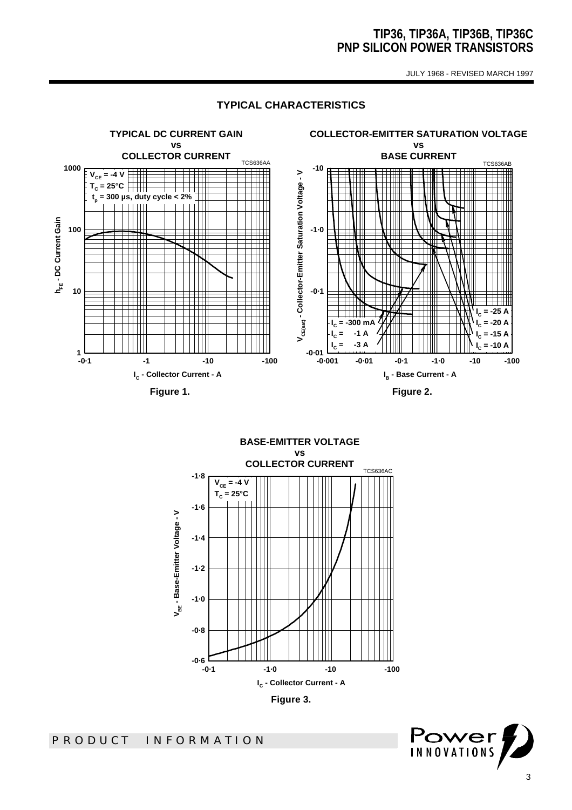JULY 1968 - REVISED MARCH 1997

#### **TYPICAL CHARACTERISTICS**



**BASE-EMITTER VOLTAGE vs COLLECTOR CURRENT** TCS636AC **-1·8**  $V_{CE} = -4 V$ **TC = 25°C-1·6** V<sub>BE</sub> - Base-Emitter Voltage - V **VBE - Base-Emitter Voltage - V -1·4 -1·2 -1·0 -0·8** —<br>1-0− **-0·1 -1·0 -10 -100 IC - Collector Current - A Figure 3.** 

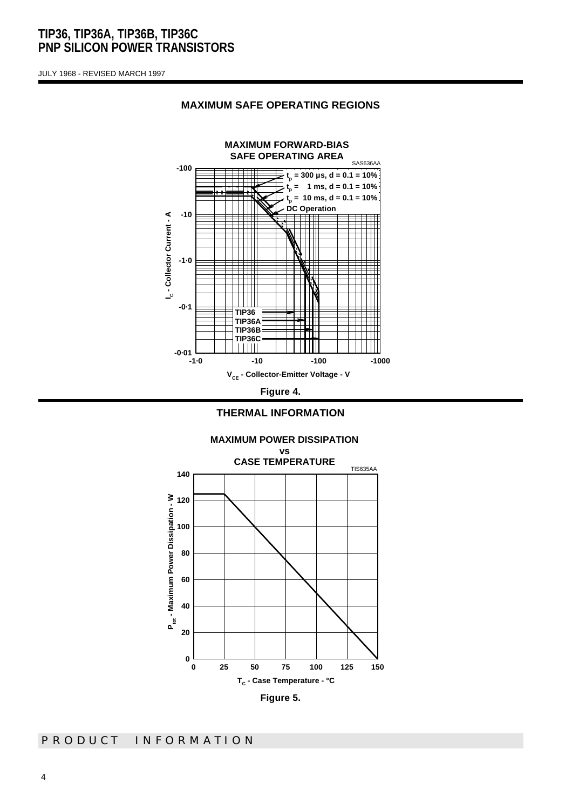JULY 1968 - REVISED MARCH 1997



#### **MAXIMUM SAFE OPERATING REGIONS**